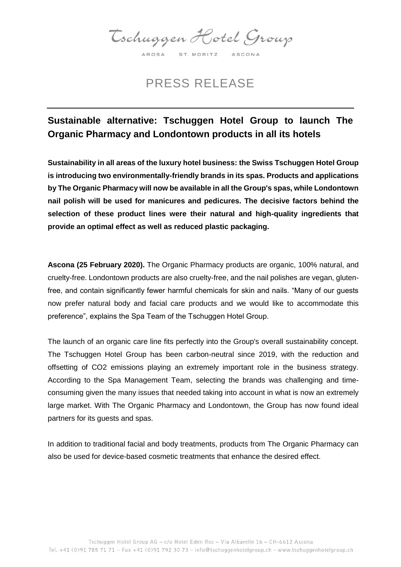Tschuggen Hotel Group AROSA ST. MORITZ ASCONA

PRESS RELEASE

## **Sustainable alternative: Tschuggen Hotel Group to launch The Organic Pharmacy and Londontown products in all its hotels**

**Sustainability in all areas of the luxury hotel business: the Swiss Tschuggen Hotel Group is introducing two environmentally-friendly brands in its spas. Products and applications by The Organic Pharmacy will now be available in all the Group's spas, while Londontown nail polish will be used for manicures and pedicures. The decisive factors behind the selection of these product lines were their natural and high-quality ingredients that provide an optimal effect as well as reduced plastic packaging.**

**Ascona (25 February 2020).** The Organic Pharmacy products are organic, 100% natural, and cruelty-free. Londontown products are also cruelty-free, and the nail polishes are vegan, glutenfree, and contain significantly fewer harmful chemicals for skin and nails. "Many of our guests now prefer natural body and facial care products and we would like to accommodate this preference", explains the Spa Team of the Tschuggen Hotel Group.

The launch of an organic care line fits perfectly into the Group's overall sustainability concept. The Tschuggen Hotel Group has been carbon-neutral since 2019, with the reduction and offsetting of CO2 emissions playing an extremely important role in the business strategy. According to the Spa Management Team, selecting the brands was challenging and timeconsuming given the many issues that needed taking into account in what is now an extremely large market. With The Organic Pharmacy and Londontown, the Group has now found ideal partners for its guests and spas.

In addition to traditional facial and body treatments, products from The Organic Pharmacy can also be used for device-based cosmetic treatments that enhance the desired effect.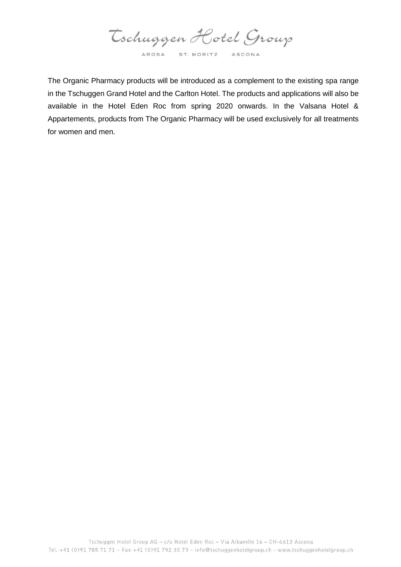Tschuggen Hotel Group AROSA ST. MORITZ ASCONA

The Organic Pharmacy products will be introduced as a complement to the existing spa range in the Tschuggen Grand Hotel and the Carlton Hotel. The products and applications will also be available in the Hotel Eden Roc from spring 2020 onwards. In the Valsana Hotel & Appartements, products from The Organic Pharmacy will be used exclusively for all treatments for women and men.